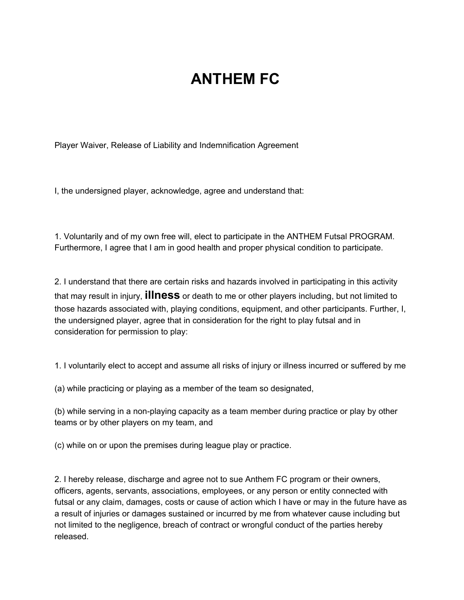## **ANTHEM FC**

Player Waiver, Release of Liability and Indemnification Agreement

I, the undersigned player, acknowledge, agree and understand that:

1. Voluntarily and of my own free will, elect to participate in the ANTHEM Futsal PROGRAM. Furthermore, I agree that I am in good health and proper physical condition to participate.

2. I understand that there are certain risks and hazards involved in participating in this activity that may result in injury, **illness** or death to me or other players including, but not limited to those hazards associated with, playing conditions, equipment, and other participants. Further, I, the undersigned player, agree that in consideration for the right to play futsal and in consideration for permission to play:

1. I voluntarily elect to accept and assume all risks of injury or illness incurred or suffered by me

(a) while practicing or playing as a member of the team so designated,

(b) while serving in a non-playing capacity as a team member during practice or play by other teams or by other players on my team, and

(c) while on or upon the premises during league play or practice.

2. I hereby release, discharge and agree not to sue Anthem FC program or their owners, officers, agents, servants, associations, employees, or any person or entity connected with futsal or any claim, damages, costs or cause of action which I have or may in the future have as a result of injuries or damages sustained or incurred by me from whatever cause including but not limited to the negligence, breach of contract or wrongful conduct of the parties hereby released.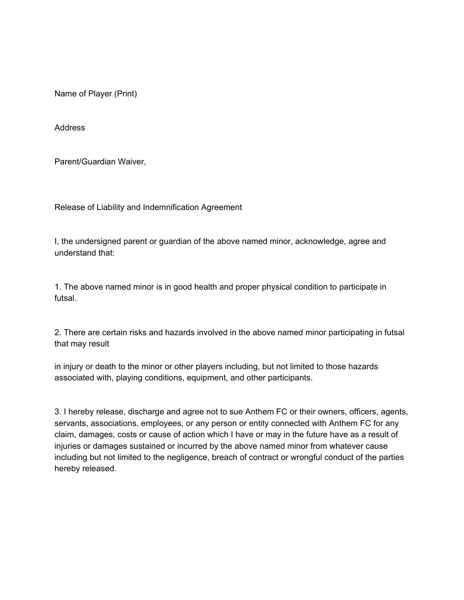Name of Player (Print)

Address

Parent/Guardian Waiver,

Release of Liability and Indemnification Agreement

I, the undersigned parent or guardian of the above named minor, acknowledge, agree and understand that:

1. The above named minor is in good health and proper physical condition to participate in futsal.

2. There are certain risks and hazards involved in the above named minor participating in futsal that may result

in injury or death to the minor or other players including, but not limited to those hazards associated with, playing conditions, equipment, and other participants.

3. I hereby release, discharge and agree not to sue Anthem FC or their owners, officers, agents, servants, associations, employees, or any person or entity connected with Anthem FC for any claim, damages, costs or cause of action which I have or may in the future have as a result of injuries or damages sustained or incurred by the above named minor from whatever cause including but not limited to the negligence, breach of contract or wrongful conduct of the parties hereby released.